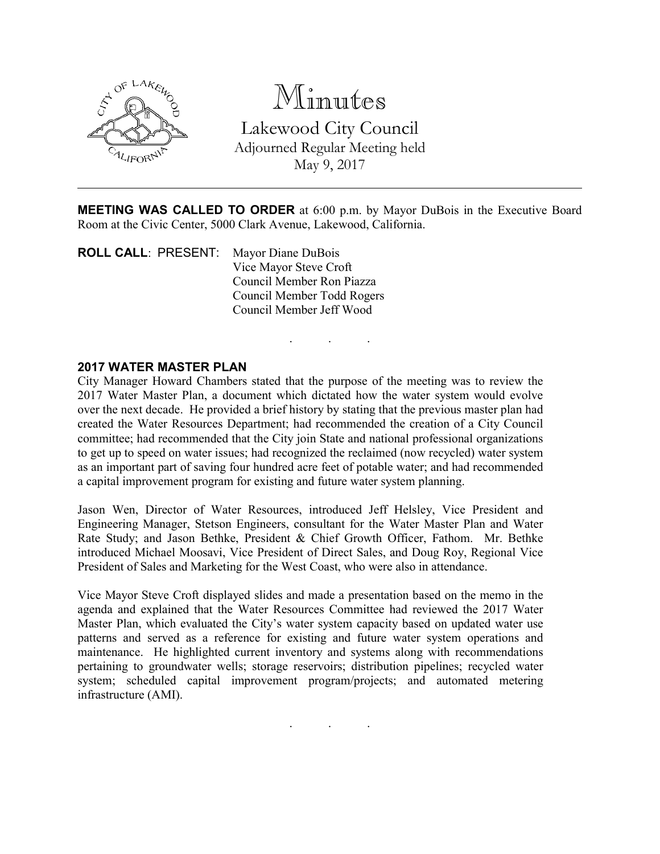

# Minutes

Lakewood City Council Adjourned Regular Meeting held May 9, 2017

MEETING WAS CALLED TO ORDER at 6:00 p.m. by Mayor DuBois in the Executive Board Room at the Civic Center, 5000 Clark Avenue, Lakewood, California.

. . .

ROLL CALL: PRESENT: Mayor Diane DuBois Vice Mayor Steve Croft Council Member Ron Piazza Council Member Todd Rogers Council Member Jeff Wood

#### 2017 WATER MASTER PLAN

City Manager Howard Chambers stated that the purpose of the meeting was to review the 2017 Water Master Plan, a document which dictated how the water system would evolve over the next decade. He provided a brief history by stating that the previous master plan had created the Water Resources Department; had recommended the creation of a City Council committee; had recommended that the City join State and national professional organizations to get up to speed on water issues; had recognized the reclaimed (now recycled) water system as an important part of saving four hundred acre feet of potable water; and had recommended a capital improvement program for existing and future water system planning.

Jason Wen, Director of Water Resources, introduced Jeff Helsley, Vice President and Engineering Manager, Stetson Engineers, consultant for the Water Master Plan and Water Rate Study; and Jason Bethke, President & Chief Growth Officer, Fathom. Mr. Bethke introduced Michael Moosavi, Vice President of Direct Sales, and Doug Roy, Regional Vice President of Sales and Marketing for the West Coast, who were also in attendance.

Vice Mayor Steve Croft displayed slides and made a presentation based on the memo in the agenda and explained that the Water Resources Committee had reviewed the 2017 Water Master Plan, which evaluated the City's water system capacity based on updated water use patterns and served as a reference for existing and future water system operations and maintenance. He highlighted current inventory and systems along with recommendations pertaining to groundwater wells; storage reservoirs; distribution pipelines; recycled water system; scheduled capital improvement program/projects; and automated metering infrastructure (AMI).

. . .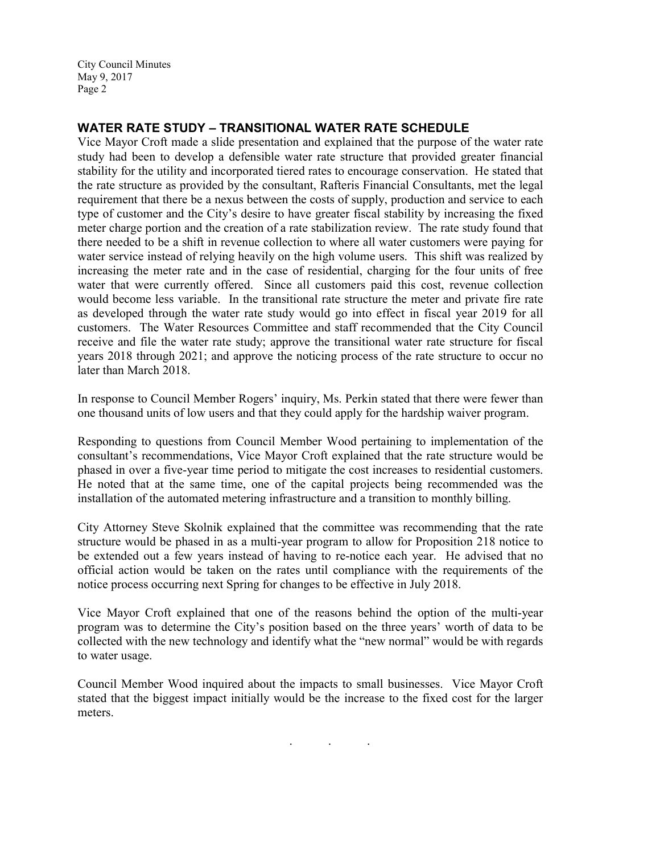## WATER RATE STUDY – TRANSITIONAL WATER RATE SCHEDULE

Vice Mayor Croft made a slide presentation and explained that the purpose of the water rate study had been to develop a defensible water rate structure that provided greater financial stability for the utility and incorporated tiered rates to encourage conservation. He stated that the rate structure as provided by the consultant, Rafteris Financial Consultants, met the legal requirement that there be a nexus between the costs of supply, production and service to each type of customer and the City's desire to have greater fiscal stability by increasing the fixed meter charge portion and the creation of a rate stabilization review. The rate study found that there needed to be a shift in revenue collection to where all water customers were paying for water service instead of relying heavily on the high volume users. This shift was realized by increasing the meter rate and in the case of residential, charging for the four units of free water that were currently offered. Since all customers paid this cost, revenue collection would become less variable. In the transitional rate structure the meter and private fire rate as developed through the water rate study would go into effect in fiscal year 2019 for all customers. The Water Resources Committee and staff recommended that the City Council receive and file the water rate study; approve the transitional water rate structure for fiscal years 2018 through 2021; and approve the noticing process of the rate structure to occur no later than March 2018.

In response to Council Member Rogers' inquiry, Ms. Perkin stated that there were fewer than one thousand units of low users and that they could apply for the hardship waiver program.

Responding to questions from Council Member Wood pertaining to implementation of the consultant's recommendations, Vice Mayor Croft explained that the rate structure would be phased in over a five-year time period to mitigate the cost increases to residential customers. He noted that at the same time, one of the capital projects being recommended was the installation of the automated metering infrastructure and a transition to monthly billing.

City Attorney Steve Skolnik explained that the committee was recommending that the rate structure would be phased in as a multi-year program to allow for Proposition 218 notice to be extended out a few years instead of having to re-notice each year. He advised that no official action would be taken on the rates until compliance with the requirements of the notice process occurring next Spring for changes to be effective in July 2018.

Vice Mayor Croft explained that one of the reasons behind the option of the multi-year program was to determine the City's position based on the three years' worth of data to be collected with the new technology and identify what the "new normal" would be with regards to water usage.

Council Member Wood inquired about the impacts to small businesses. Vice Mayor Croft stated that the biggest impact initially would be the increase to the fixed cost for the larger meters.

. . .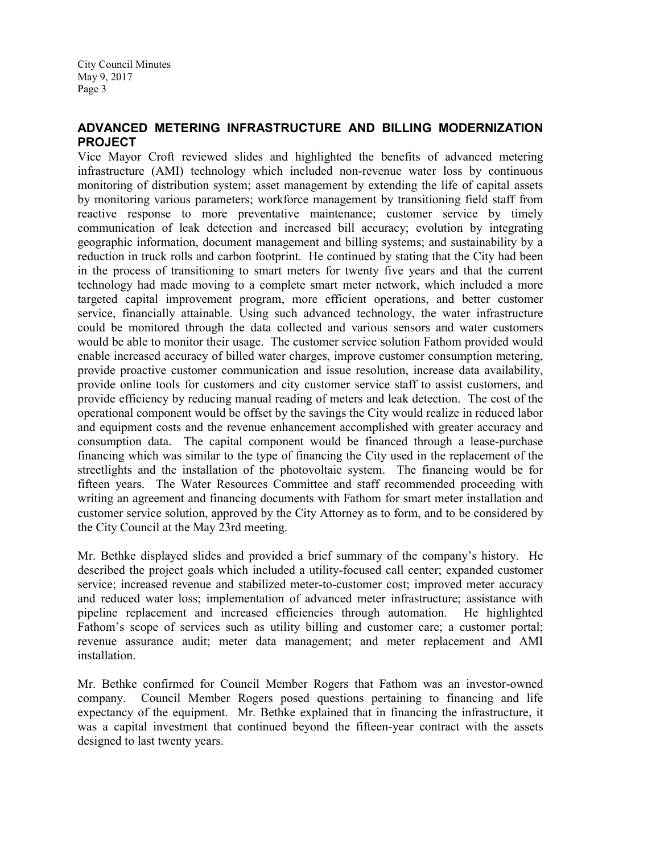## ADVANCED METERING INFRASTRUCTURE AND BILLING MODERNIZATION **PROJECT**

Vice Mayor Croft reviewed slides and highlighted the benefits of advanced metering infrastructure (AMI) technology which included non-revenue water loss by continuous monitoring of distribution system; asset management by extending the life of capital assets by monitoring various parameters; workforce management by transitioning field staff from reactive response to more preventative maintenance; customer service by timely communication of leak detection and increased bill accuracy; evolution by integrating geographic information, document management and billing systems; and sustainability by a reduction in truck rolls and carbon footprint. He continued by stating that the City had been in the process of transitioning to smart meters for twenty five years and that the current technology had made moving to a complete smart meter network, which included a more targeted capital improvement program, more efficient operations, and better customer service, financially attainable. Using such advanced technology, the water infrastructure could be monitored through the data collected and various sensors and water customers would be able to monitor their usage. The customer service solution Fathom provided would enable increased accuracy of billed water charges, improve customer consumption metering, provide proactive customer communication and issue resolution, increase data availability, provide online tools for customers and city customer service staff to assist customers, and provide efficiency by reducing manual reading of meters and leak detection. The cost of the operational component would be offset by the savings the City would realize in reduced labor and equipment costs and the revenue enhancement accomplished with greater accuracy and consumption data. The capital component would be financed through a lease-purchase financing which was similar to the type of financing the City used in the replacement of the streetlights and the installation of the photovoltaic system. The financing would be for fifteen years. The Water Resources Committee and staff recommended proceeding with writing an agreement and financing documents with Fathom for smart meter installation and customer service solution, approved by the City Attorney as to form, and to be considered by the City Council at the May 23rd meeting.

Mr. Bethke displayed slides and provided a brief summary of the company's history. He described the project goals which included a utility-focused call center; expanded customer service; increased revenue and stabilized meter-to-customer cost; improved meter accuracy and reduced water loss; implementation of advanced meter infrastructure; assistance with pipeline replacement and increased efficiencies through automation. He highlighted Fathom's scope of services such as utility billing and customer care; a customer portal; revenue assurance audit; meter data management; and meter replacement and AMI installation.

Mr. Bethke confirmed for Council Member Rogers that Fathom was an investor-owned company. Council Member Rogers posed questions pertaining to financing and life expectancy of the equipment. Mr. Bethke explained that in financing the infrastructure, it was a capital investment that continued beyond the fifteen-year contract with the assets designed to last twenty years.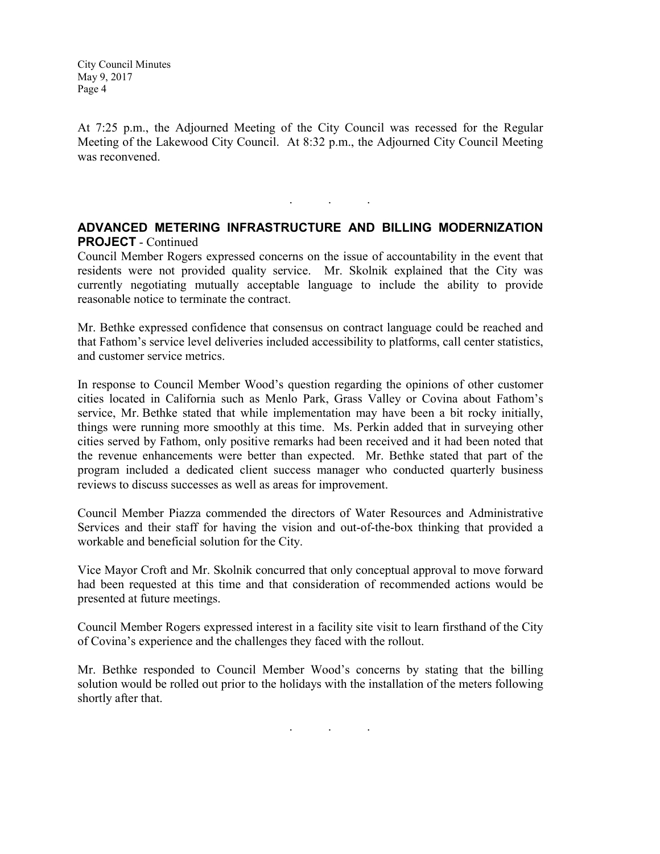At 7:25 p.m., the Adjourned Meeting of the City Council was recessed for the Regular Meeting of the Lakewood City Council. At 8:32 p.m., the Adjourned City Council Meeting was reconvened.

#### ADVANCED METERING INFRASTRUCTURE AND BILLING MODERNIZATION PROJECT - Continued

. . .

Council Member Rogers expressed concerns on the issue of accountability in the event that residents were not provided quality service. Mr. Skolnik explained that the City was currently negotiating mutually acceptable language to include the ability to provide reasonable notice to terminate the contract.

Mr. Bethke expressed confidence that consensus on contract language could be reached and that Fathom's service level deliveries included accessibility to platforms, call center statistics, and customer service metrics.

In response to Council Member Wood's question regarding the opinions of other customer cities located in California such as Menlo Park, Grass Valley or Covina about Fathom's service, Mr. Bethke stated that while implementation may have been a bit rocky initially, things were running more smoothly at this time. Ms. Perkin added that in surveying other cities served by Fathom, only positive remarks had been received and it had been noted that the revenue enhancements were better than expected. Mr. Bethke stated that part of the program included a dedicated client success manager who conducted quarterly business reviews to discuss successes as well as areas for improvement.

Council Member Piazza commended the directors of Water Resources and Administrative Services and their staff for having the vision and out-of-the-box thinking that provided a workable and beneficial solution for the City.

Vice Mayor Croft and Mr. Skolnik concurred that only conceptual approval to move forward had been requested at this time and that consideration of recommended actions would be presented at future meetings.

Council Member Rogers expressed interest in a facility site visit to learn firsthand of the City of Covina's experience and the challenges they faced with the rollout.

Mr. Bethke responded to Council Member Wood's concerns by stating that the billing solution would be rolled out prior to the holidays with the installation of the meters following shortly after that.

. . .